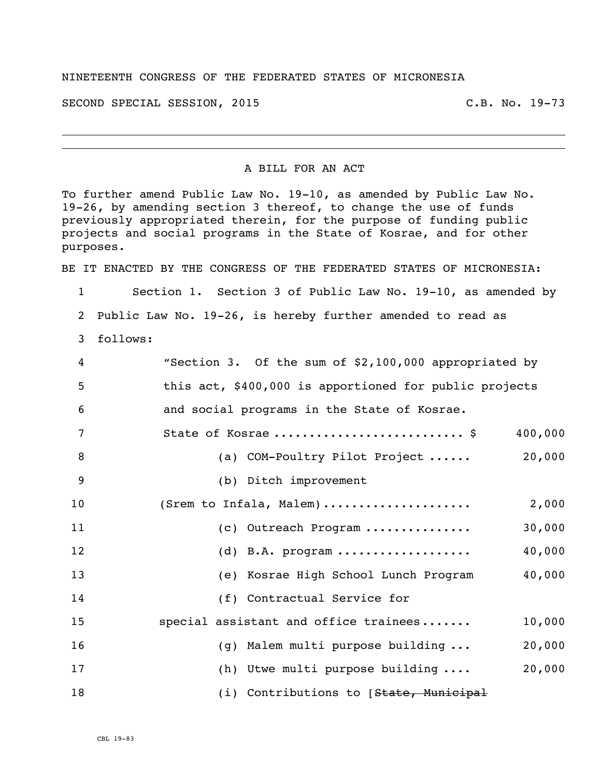## NINETEENTH CONGRESS OF THE FEDERATED STATES OF MICRONESIA

SECOND SPECIAL SESSION, 2015 C.B. No. 19-73

## A BILL FOR AN ACT

To further amend Public Law No. 19-10, as amended by Public Law No. 19-26, by amending section 3 thereof, to change the use of funds previously appropriated therein, for the purpose of funding public projects and social programs in the State of Kosrae, and for other purposes.

BE IT ENACTED BY THE CONGRESS OF THE FEDERATED STATES OF MICRONESIA:

 Section 1. Section 3 of Public Law No. 19-10, as amended by Public Law No. 19-26, is hereby further amended to read as follows: "Section 3. Of the sum of \$2,100,000 appropriated by

|    | becased by the sum of $\frac{1}{2}$ and $\frac{1}{2}$ and $\frac{1}{2}$ and $\frac{1}{2}$ appropriated by |                                        |        |  |
|----|-----------------------------------------------------------------------------------------------------------|----------------------------------------|--------|--|
| 5  | this act, \$400,000 is apportioned for public projects                                                    |                                        |        |  |
| 6  | and social programs in the State of Kosrae.                                                               |                                        |        |  |
| 7  |                                                                                                           | State of Kosrae  \$<br>400,000         |        |  |
| 8  |                                                                                                           | (a) COM-Poultry Pilot Project          | 20,000 |  |
| 9  | (b) Ditch improvement                                                                                     |                                        |        |  |
| 10 | (Srem to Infala, Malem)                                                                                   |                                        | 2,000  |  |
| 11 |                                                                                                           | (c) Outreach Program                   | 30,000 |  |
| 12 |                                                                                                           | $(d)$ B.A. program                     | 40,000 |  |
| 13 |                                                                                                           | (e) Kosrae High School Lunch Program   | 40,000 |  |
| 14 |                                                                                                           | (f) Contractual Service for            |        |  |
| 15 |                                                                                                           | special assistant and office trainees  | 10,000 |  |
| 16 |                                                                                                           | (g) Malem multi purpose building       | 20,000 |  |
| 17 |                                                                                                           | (h) Utwe multi purpose building        | 20,000 |  |
| 18 |                                                                                                           | (i) Contributions to [State, Municipal |        |  |